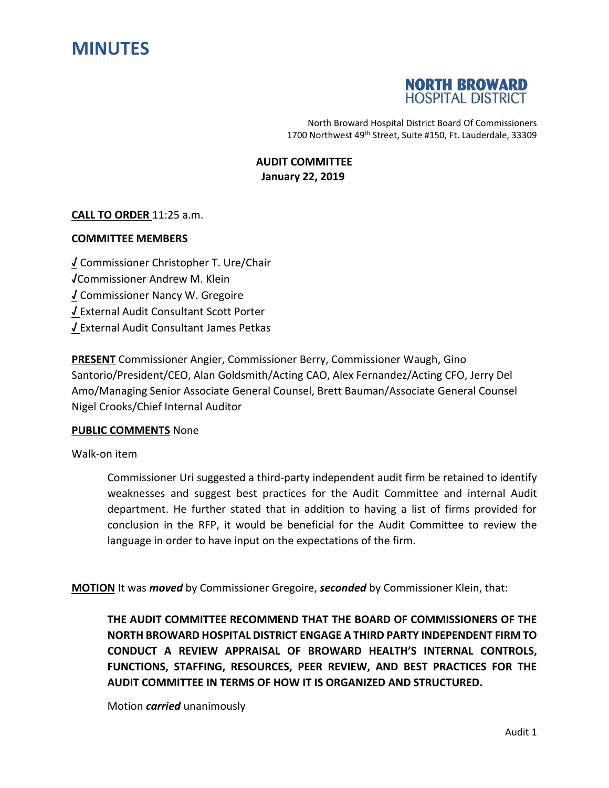



North Broward Hospital District Board Of Commissioners 1700 Northwest 49<sup>th</sup> Street, Suite #150, Ft. Lauderdale, 33309

**AUDIT COMMITTEE January 22, 2019**

### **CALL TO ORDER** 11:25 a.m.

#### **COMMITTEE MEMBERS**

**√** Commissioner Christopher T. Ure/Chair **√**Commissioner Andrew M. Klein **√** Commissioner Nancy W. Gregoire **√** External Audit Consultant Scott Porter **√** External Audit Consultant James Petkas

**PRESENT** Commissioner Angier, Commissioner Berry, Commissioner Waugh, Gino Santorio/President/CEO, Alan Goldsmith/Acting CAO, Alex Fernandez/Acting CFO, Jerry Del Amo/Managing Senior Associate General Counsel, Brett Bauman/Associate General Counsel Nigel Crooks/Chief Internal Auditor

#### **PUBLIC COMMENTS** None

Walk-on item

Commissioner Uri suggested a third-party independent audit firm be retained to identify weaknesses and suggest best practices for the Audit Committee and internal Audit department. He further stated that in addition to having a list of firms provided for conclusion in the RFP, it would be beneficial for the Audit Committee to review the language in order to have input on the expectations of the firm.

**MOTION** It was *moved* by Commissioner Gregoire, *seconded* by Commissioner Klein, that:

**THE AUDIT COMMITTEE RECOMMEND THAT THE BOARD OF COMMISSIONERS OF THE NORTH BROWARD HOSPITAL DISTRICT ENGAGE A THIRD PARTY INDEPENDENT FIRM TO CONDUCT A REVIEW APPRAISAL OF BROWARD HEALTH'S INTERNAL CONTROLS, FUNCTIONS, STAFFING, RESOURCES, PEER REVIEW, AND BEST PRACTICES FOR THE AUDIT COMMITTEE IN TERMS OF HOW IT IS ORGANIZED AND STRUCTURED.** 

Motion *carried* unanimously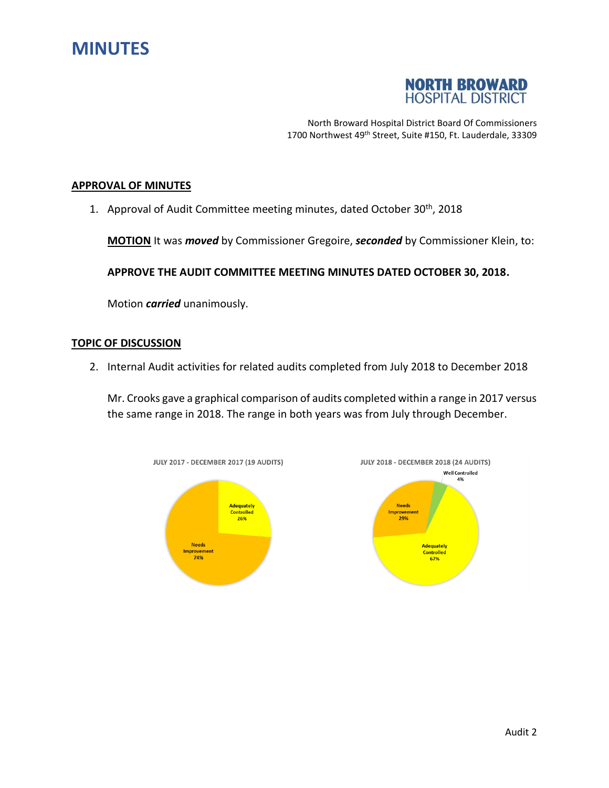



North Broward Hospital District Board Of Commissioners 1700 Northwest 49<sup>th</sup> Street, Suite #150, Ft. Lauderdale, 33309

### **APPROVAL OF MINUTES**

1. Approval of Audit Committee meeting minutes, dated October 30<sup>th</sup>, 2018

**MOTION** It was *moved* by Commissioner Gregoire, *seconded* by Commissioner Klein, to:

**APPROVE THE AUDIT COMMITTEE MEETING MINUTES DATED OCTOBER 30, 2018.**

Motion *carried* unanimously.

#### **TOPIC OF DISCUSSION**

2. Internal Audit activities for related audits completed from July 2018 to December 2018

Mr. Crooks gave a graphical comparison of audits completed within a range in 2017 versus the same range in 2018. The range in both years was from July through December.

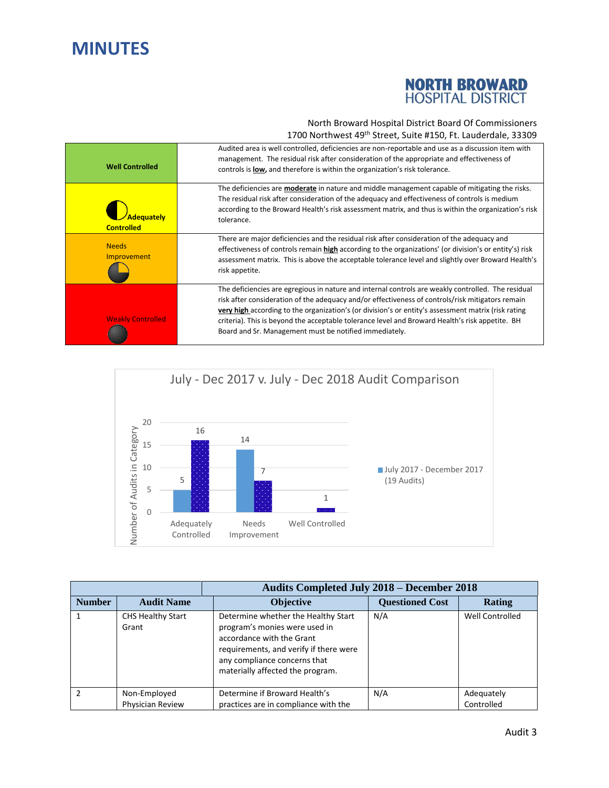

North Broward Hospital District Board Of Commissioners 1700 Northwest 49<sup>th</sup> Street, Suite #150, Ft. Lauderdale, 33309

| <b>Well Controlled</b>                 | Audited area is well controlled, deficiencies are non-reportable and use as a discussion item with<br>management. The residual risk after consideration of the appropriate and effectiveness of<br>controls is <b>low</b> , and therefore is within the organization's risk tolerance.                                                                                                                                                                                     |
|----------------------------------------|----------------------------------------------------------------------------------------------------------------------------------------------------------------------------------------------------------------------------------------------------------------------------------------------------------------------------------------------------------------------------------------------------------------------------------------------------------------------------|
| <b>Adequately</b><br><b>Controlled</b> | The deficiencies are <b>moderate</b> in nature and middle management capable of mitigating the risks.<br>The residual risk after consideration of the adequacy and effectiveness of controls is medium<br>according to the Broward Health's risk assessment matrix, and thus is within the organization's risk<br>tolerance.                                                                                                                                               |
| <b>Needs</b><br>Improvement            | There are major deficiencies and the residual risk after consideration of the adequacy and<br>effectiveness of controls remain high according to the organizations' (or division's or entity's) risk<br>assessment matrix. This is above the acceptable tolerance level and slightly over Broward Health's<br>risk appetite.                                                                                                                                               |
| <b>Weakly Controlled</b>               | The deficiencies are egregious in nature and internal controls are weakly controlled. The residual<br>risk after consideration of the adequacy and/or effectiveness of controls/risk mitigators remain<br>very high according to the organization's (or division's or entity's assessment matrix (risk rating<br>criteria). This is beyond the acceptable tolerance level and Broward Health's risk appetite. BH<br>Board and Sr. Management must be notified immediately. |



|               |                                   | <b>Audits Completed July 2018 – December 2018</b>                                                                                                                                                               |                        |                        |
|---------------|-----------------------------------|-----------------------------------------------------------------------------------------------------------------------------------------------------------------------------------------------------------------|------------------------|------------------------|
| <b>Number</b> | <b>Audit Name</b>                 | <b>Objective</b>                                                                                                                                                                                                | <b>Questioned Cost</b> | Rating                 |
|               | <b>CHS Healthy Start</b><br>Grant | Determine whether the Healthy Start<br>program's monies were used in<br>accordance with the Grant<br>requirements, and verify if there were<br>any compliance concerns that<br>materially affected the program. | N/A                    | <b>Well Controlled</b> |
|               | Non-Employed                      | Determine if Broward Health's                                                                                                                                                                                   | N/A                    | Adequately             |
|               | <b>Physician Review</b>           | practices are in compliance with the                                                                                                                                                                            |                        | Controlled             |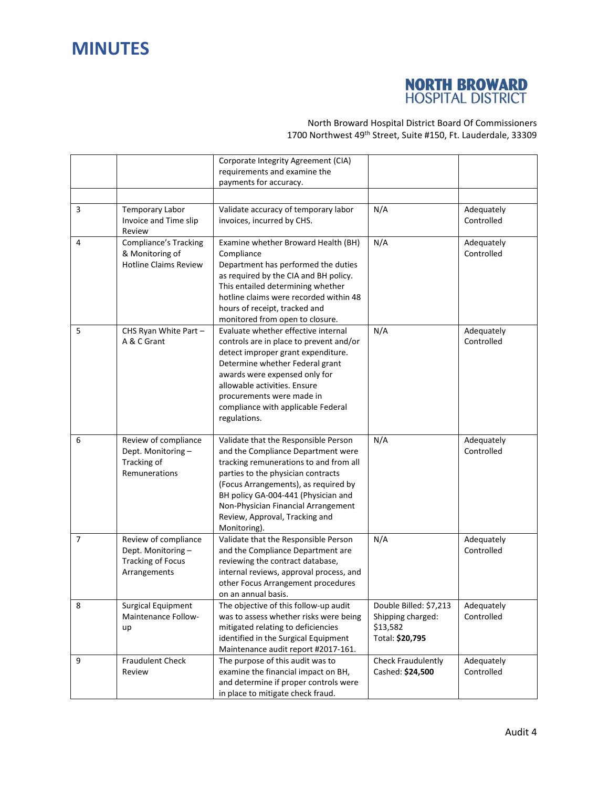

North Broward Hospital District Board Of Commissioners 1700 Northwest 49th Street, Suite #150, Ft. Lauderdale, 33309

|   |                                                                                        | Corporate Integrity Agreement (CIA)<br>requirements and examine the<br>payments for accuracy.                                                                                                                                                                                                                                      |                                                                            |                          |
|---|----------------------------------------------------------------------------------------|------------------------------------------------------------------------------------------------------------------------------------------------------------------------------------------------------------------------------------------------------------------------------------------------------------------------------------|----------------------------------------------------------------------------|--------------------------|
| 3 | <b>Temporary Labor</b><br>Invoice and Time slip<br>Review                              | Validate accuracy of temporary labor<br>invoices, incurred by CHS.                                                                                                                                                                                                                                                                 | N/A                                                                        | Adequately<br>Controlled |
| 4 | <b>Compliance's Tracking</b><br>& Monitoring of<br><b>Hotline Claims Review</b>        | Examine whether Broward Health (BH)<br>Compliance<br>Department has performed the duties<br>as required by the CIA and BH policy.<br>This entailed determining whether<br>hotline claims were recorded within 48<br>hours of receipt, tracked and<br>monitored from open to closure.                                               | N/A                                                                        | Adequately<br>Controlled |
| 5 | CHS Ryan White Part -<br>A & C Grant                                                   | Evaluate whether effective internal<br>controls are in place to prevent and/or<br>detect improper grant expenditure.<br>Determine whether Federal grant<br>awards were expensed only for<br>allowable activities. Ensure<br>procurements were made in<br>compliance with applicable Federal<br>regulations.                        | N/A                                                                        | Adequately<br>Controlled |
| 6 | Review of compliance<br>Dept. Monitoring -<br>Tracking of<br>Remunerations             | Validate that the Responsible Person<br>and the Compliance Department were<br>tracking remunerations to and from all<br>parties to the physician contracts<br>(Focus Arrangements), as required by<br>BH policy GA-004-441 (Physician and<br>Non-Physician Financial Arrangement<br>Review, Approval, Tracking and<br>Monitoring). | N/A                                                                        | Adequately<br>Controlled |
| 7 | Review of compliance<br>Dept. Monitoring -<br><b>Tracking of Focus</b><br>Arrangements | Validate that the Responsible Person<br>and the Compliance Department are<br>reviewing the contract database,<br>internal reviews, approval process, and<br>other Focus Arrangement procedures<br>on an annual basis.                                                                                                              | N/A                                                                        | Adequately<br>Controlled |
| 8 | Surgical Equipment<br>Maintenance Follow-<br>up                                        | The objective of this follow-up audit<br>was to assess whether risks were being<br>mitigated relating to deficiencies<br>identified in the Surgical Equipment<br>Maintenance audit report #2017-161.                                                                                                                               | Double Billed: \$7,213<br>Shipping charged:<br>\$13,582<br>Total: \$20,795 | Adequately<br>Controlled |
| 9 | <b>Fraudulent Check</b><br>Review                                                      | The purpose of this audit was to<br>examine the financial impact on BH,<br>and determine if proper controls were<br>in place to mitigate check fraud.                                                                                                                                                                              | Check Fraudulently<br>Cashed: \$24,500                                     | Adequately<br>Controlled |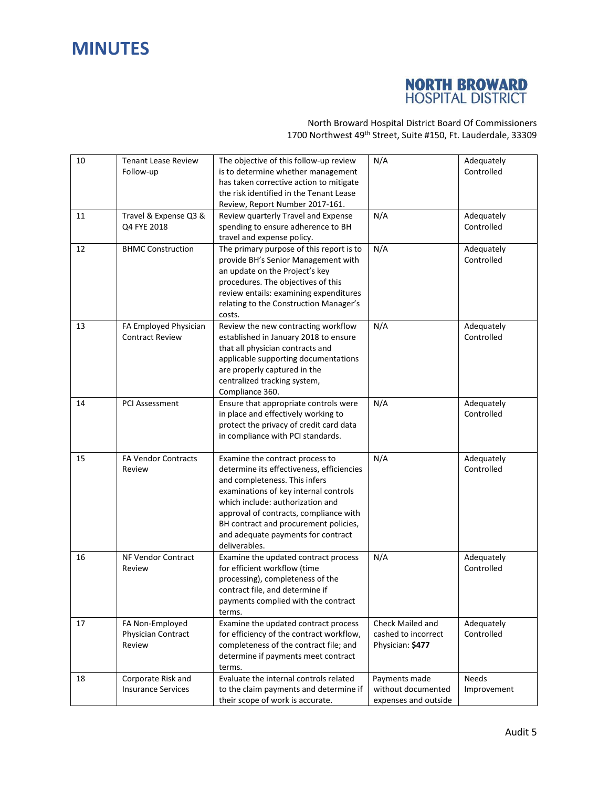

### North Broward Hospital District Board Of Commissioners 1700 Northwest 49th Street, Suite #150, Ft. Lauderdale, 33309

| 10 | <b>Tenant Lease Review</b><br>Follow-up         | The objective of this follow-up review<br>is to determine whether management<br>has taken corrective action to mitigate<br>the risk identified in the Tenant Lease                                                                                                                                                                   | N/A                                                         | Adequately<br>Controlled    |
|----|-------------------------------------------------|--------------------------------------------------------------------------------------------------------------------------------------------------------------------------------------------------------------------------------------------------------------------------------------------------------------------------------------|-------------------------------------------------------------|-----------------------------|
| 11 | Travel & Expense Q3 &<br>Q4 FYE 2018            | Review, Report Number 2017-161.<br>Review quarterly Travel and Expense<br>spending to ensure adherence to BH<br>travel and expense policy.                                                                                                                                                                                           | N/A                                                         | Adequately<br>Controlled    |
| 12 | <b>BHMC Construction</b>                        | The primary purpose of this report is to<br>provide BH's Senior Management with<br>an update on the Project's key<br>procedures. The objectives of this<br>review entails: examining expenditures<br>relating to the Construction Manager's<br>costs.                                                                                | N/A                                                         | Adequately<br>Controlled    |
| 13 | FA Employed Physician<br><b>Contract Review</b> | Review the new contracting workflow<br>established in January 2018 to ensure<br>that all physician contracts and<br>applicable supporting documentations<br>are properly captured in the<br>centralized tracking system,<br>Compliance 360.                                                                                          | N/A                                                         | Adequately<br>Controlled    |
| 14 | <b>PCI Assessment</b>                           | Ensure that appropriate controls were<br>in place and effectively working to<br>protect the privacy of credit card data<br>in compliance with PCI standards.                                                                                                                                                                         | N/A                                                         | Adequately<br>Controlled    |
| 15 | <b>FA Vendor Contracts</b><br>Review            | Examine the contract process to<br>determine its effectiveness, efficiencies<br>and completeness. This infers<br>examinations of key internal controls<br>which include: authorization and<br>approval of contracts, compliance with<br>BH contract and procurement policies,<br>and adequate payments for contract<br>deliverables. | N/A                                                         | Adequately<br>Controlled    |
| 16 | NF Vendor Contract<br>Review                    | Examine the updated contract process<br>for efficient workflow (time<br>processing), completeness of the<br>contract file, and determine if<br>payments complied with the contract<br>terms.                                                                                                                                         | N/A                                                         | Adequately<br>Controlled    |
| 17 | FA Non-Employed<br>Physician Contract<br>Review | Examine the updated contract process<br>for efficiency of the contract workflow,<br>completeness of the contract file; and<br>determine if payments meet contract<br>terms.                                                                                                                                                          | Check Mailed and<br>cashed to incorrect<br>Physician: \$477 | Adequately<br>Controlled    |
| 18 | Corporate Risk and<br><b>Insurance Services</b> | Evaluate the internal controls related<br>to the claim payments and determine if<br>their scope of work is accurate.                                                                                                                                                                                                                 | Payments made<br>without documented<br>expenses and outside | <b>Needs</b><br>Improvement |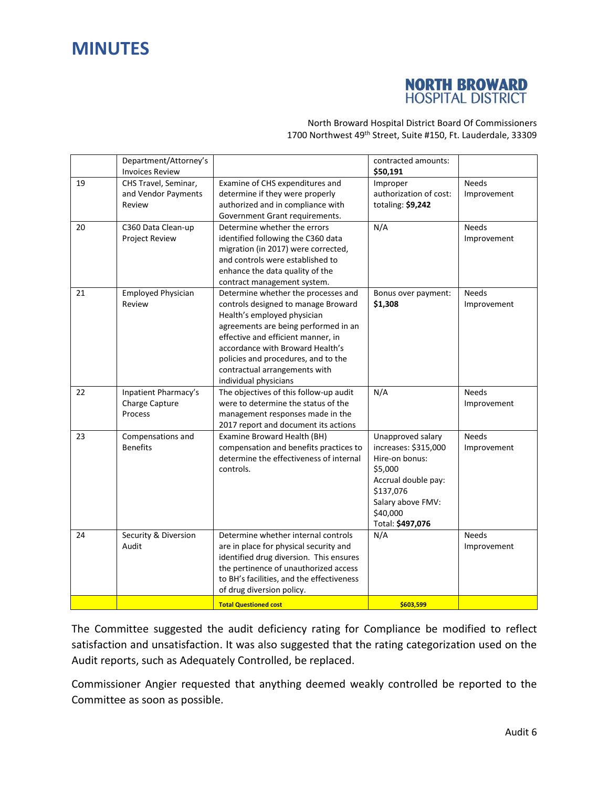

North Broward Hospital District Board Of Commissioners 1700 Northwest 49<sup>th</sup> Street, Suite #150, Ft. Lauderdale, 33309

|    | Department/Attorney's<br><b>Invoices Review</b>       |                                                                                                                                                                                                                                                                                                                              | contracted amounts:                                                                                                                                             |                             |
|----|-------------------------------------------------------|------------------------------------------------------------------------------------------------------------------------------------------------------------------------------------------------------------------------------------------------------------------------------------------------------------------------------|-----------------------------------------------------------------------------------------------------------------------------------------------------------------|-----------------------------|
| 19 | CHS Travel, Seminar,<br>and Vendor Payments<br>Review | Examine of CHS expenditures and<br>determine if they were properly<br>authorized and in compliance with<br>Government Grant requirements.                                                                                                                                                                                    | \$50,191<br>Improper<br>authorization of cost:<br>totaling: \$9,242                                                                                             | <b>Needs</b><br>Improvement |
| 20 | C360 Data Clean-up<br><b>Project Review</b>           | Determine whether the errors<br>identified following the C360 data<br>migration (in 2017) were corrected,<br>and controls were established to<br>enhance the data quality of the<br>contract management system.                                                                                                              | N/A                                                                                                                                                             | <b>Needs</b><br>Improvement |
| 21 | Employed Physician<br>Review                          | Determine whether the processes and<br>controls designed to manage Broward<br>Health's employed physician<br>agreements are being performed in an<br>effective and efficient manner, in<br>accordance with Broward Health's<br>policies and procedures, and to the<br>contractual arrangements with<br>individual physicians | Bonus over payment:<br>\$1,308                                                                                                                                  | <b>Needs</b><br>Improvement |
| 22 | Inpatient Pharmacy's<br>Charge Capture<br>Process     | The objectives of this follow-up audit<br>were to determine the status of the<br>management responses made in the<br>2017 report and document its actions                                                                                                                                                                    | N/A                                                                                                                                                             | <b>Needs</b><br>Improvement |
| 23 | Compensations and<br><b>Benefits</b>                  | Examine Broward Health (BH)<br>compensation and benefits practices to<br>determine the effectiveness of internal<br>controls.                                                                                                                                                                                                | Unapproved salary<br>increases: \$315,000<br>Hire-on bonus:<br>\$5,000<br>Accrual double pay:<br>\$137,076<br>Salary above FMV:<br>\$40,000<br>Total: \$497,076 | <b>Needs</b><br>Improvement |
| 24 | Security & Diversion<br>Audit                         | Determine whether internal controls<br>are in place for physical security and<br>identified drug diversion. This ensures<br>the pertinence of unauthorized access<br>to BH's facilities, and the effectiveness<br>of drug diversion policy.                                                                                  | N/A                                                                                                                                                             | <b>Needs</b><br>Improvement |
|    |                                                       | <b>Total Questioned cost</b>                                                                                                                                                                                                                                                                                                 | \$603,599                                                                                                                                                       |                             |

The Committee suggested the audit deficiency rating for Compliance be modified to reflect satisfaction and unsatisfaction. It was also suggested that the rating categorization used on the Audit reports, such as Adequately Controlled, be replaced.

Commissioner Angier requested that anything deemed weakly controlled be reported to the Committee as soon as possible.